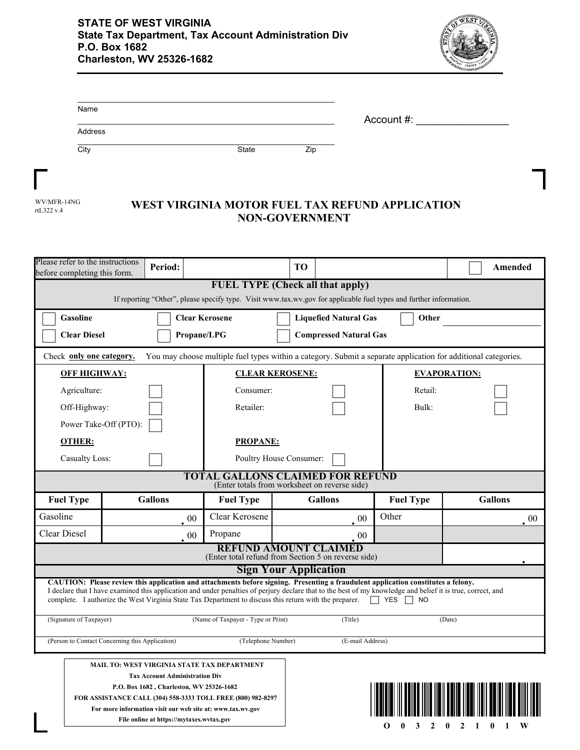

| Name    |              |     |            |
|---------|--------------|-----|------------|
|         |              |     | Account #: |
| Address |              |     |            |
| City    | <b>State</b> | Zip |            |

| WV/MFR-14NG             |  |
|-------------------------|--|
| rt $1.322 \text{ v}$ .4 |  |

Г

## WEST VIRGINIA MOTOR FUEL TAX REFUND APPLICATION **NON-GOVERNMENT**

| Please refer to the instructions<br>before completing this form.                                                                                              | Period:                                                                                                                                                                                                |                                    | TО                                                                                                                                                                                                                                                                                               |                        | Amended        |  |  |  |
|---------------------------------------------------------------------------------------------------------------------------------------------------------------|--------------------------------------------------------------------------------------------------------------------------------------------------------------------------------------------------------|------------------------------------|--------------------------------------------------------------------------------------------------------------------------------------------------------------------------------------------------------------------------------------------------------------------------------------------------|------------------------|----------------|--|--|--|
| <b>FUEL TYPE (Check all that apply)</b><br>If reporting "Other", please specify type. Visit www.tax.wv.gov for applicable fuel types and further information. |                                                                                                                                                                                                        |                                    |                                                                                                                                                                                                                                                                                                  |                        |                |  |  |  |
| Gasoline<br><b>Clear Kerosene</b><br><b>Liquefied Natural Gas</b><br>Other                                                                                    |                                                                                                                                                                                                        |                                    |                                                                                                                                                                                                                                                                                                  |                        |                |  |  |  |
| <b>Clear Diesel</b>                                                                                                                                           |                                                                                                                                                                                                        | Propane/LPG                        | <b>Compressed Natural Gas</b>                                                                                                                                                                                                                                                                    |                        |                |  |  |  |
|                                                                                                                                                               | You may choose multiple fuel types within a category. Submit a separate application for additional categories.<br>Check only one category.                                                             |                                    |                                                                                                                                                                                                                                                                                                  |                        |                |  |  |  |
|                                                                                                                                                               | <b>OFF HIGHWAY:</b><br><b>CLEAR KEROSENE:</b>                                                                                                                                                          |                                    |                                                                                                                                                                                                                                                                                                  | <b>EVAPORATION:</b>    |                |  |  |  |
| Agriculture:                                                                                                                                                  |                                                                                                                                                                                                        | Consumer:                          |                                                                                                                                                                                                                                                                                                  | Retail:                |                |  |  |  |
| Off-Highway:                                                                                                                                                  |                                                                                                                                                                                                        | Retailer:                          |                                                                                                                                                                                                                                                                                                  | Bulk:                  |                |  |  |  |
|                                                                                                                                                               | Power Take-Off (PTO):                                                                                                                                                                                  |                                    |                                                                                                                                                                                                                                                                                                  |                        |                |  |  |  |
| <b>OTHER:</b>                                                                                                                                                 |                                                                                                                                                                                                        | <b>PROPANE:</b>                    |                                                                                                                                                                                                                                                                                                  |                        |                |  |  |  |
| <b>Casualty Loss:</b>                                                                                                                                         |                                                                                                                                                                                                        |                                    | Poultry House Consumer:                                                                                                                                                                                                                                                                          |                        |                |  |  |  |
| <b>TOTAL GALLONS CLAIMED FOR REFUND</b><br>(Enter totals from worksheet on reverse side)                                                                      |                                                                                                                                                                                                        |                                    |                                                                                                                                                                                                                                                                                                  |                        |                |  |  |  |
| <b>Fuel Type</b>                                                                                                                                              | <b>Gallons</b>                                                                                                                                                                                         | <b>Fuel Type</b>                   | <b>Gallons</b>                                                                                                                                                                                                                                                                                   | <b>Fuel Type</b>       | <b>Gallons</b> |  |  |  |
|                                                                                                                                                               |                                                                                                                                                                                                        |                                    |                                                                                                                                                                                                                                                                                                  |                        |                |  |  |  |
| Gasoline                                                                                                                                                      | 00                                                                                                                                                                                                     | Clear Kerosene                     | 00                                                                                                                                                                                                                                                                                               | Other                  | 00             |  |  |  |
| Clear Diesel                                                                                                                                                  | 00                                                                                                                                                                                                     | Propane                            | 00                                                                                                                                                                                                                                                                                               |                        |                |  |  |  |
|                                                                                                                                                               |                                                                                                                                                                                                        |                                    | <b>REFUND AMOUNT CLAIMED</b>                                                                                                                                                                                                                                                                     |                        |                |  |  |  |
|                                                                                                                                                               |                                                                                                                                                                                                        |                                    | (Enter total refund from Section 5 on reverse side)<br><b>Sign Your Application</b>                                                                                                                                                                                                              |                        |                |  |  |  |
|                                                                                                                                                               | complete. I authorize the West Virginia State Tax Department to discuss this return with the preparer.                                                                                                 |                                    | CAUTION: Please review this application and attachments before signing. Presenting a fraudulent application constitutes a felony.<br>I declare that I have examined this application and under penalties of perjury declare that to the best of my knowledge and belief it is true, correct, and | <b>T</b> YES <b>NO</b> |                |  |  |  |
| (Signature of Taxpayer)                                                                                                                                       |                                                                                                                                                                                                        | (Name of Taxpayer - Type or Print) | (Title)                                                                                                                                                                                                                                                                                          |                        | (Date)         |  |  |  |
|                                                                                                                                                               | (Person to Contact Concerning this Application)                                                                                                                                                        | (Telephone Number)                 | (E-mail Address)                                                                                                                                                                                                                                                                                 |                        |                |  |  |  |
|                                                                                                                                                               | <b>MAIL TO: WEST VIRGINIA STATE TAX DEPARTMENT</b><br><b>Tax Account Administration Div</b><br>P.O. Box 1682, Charleston, WV 25326-1682<br>FOR ASSISTANCE CALL (304) 558-3333 TOLL FREE (800) 982-8297 |                                    |                                                                                                                                                                                                                                                                                                  |                        |                |  |  |  |